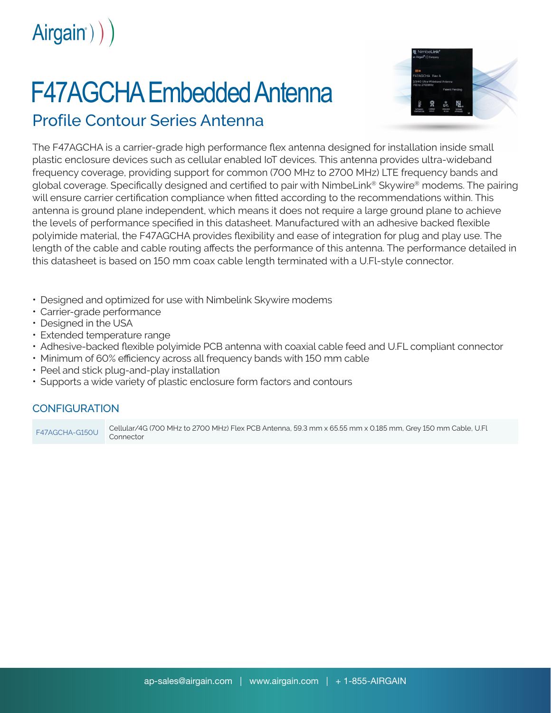Airgain<sup>e</sup>) )

## F47AGCHA Embedded Antenna



## Profile Contour Series Antenna

The F47AGCHA is a carrier-grade high performance flex antenna designed for installation inside small plastic enclosure devices such as cellular enabled IoT devices. This antenna provides ultra-wideband frequency coverage, providing support for common (700 MHz to 2700 MHz) LTE frequency bands and global coverage. Specifically designed and certified to pair with NimbeLink® Skywire® modems. The pairing will ensure carrier certification compliance when fitted according to the recommendations within. This antenna is ground plane independent, which means it does not require a large ground plane to achieve the levels of performance specified in this datasheet. Manufactured with an adhesive backed flexible polyimide material, the F47AGCHA provides flexibility and ease of integration for plug and play use. The length of the cable and cable routing affects the performance of this antenna. The performance detailed in this datasheet is based on 150 mm coax cable length terminated with a U.Fl-style connector.

- Designed and optimized for use with Nimbelink Skywire modems
- Carrier-grade performance
- Designed in the USA
- Extended temperature range
- Adhesive-backed flexible polyimide PCB antenna with coaxial cable feed and U.FL compliant connector
- Minimum of 60% efficiency across all frequency bands with 150 mm cable
- Peel and stick plug-and-play installation
- Supports a wide variety of plastic enclosure form factors and contours

## **CONFIGURATION**

F47AGCHA-G150U Cellular/4G (700 MHz to 2700 MHz) Flex PCB Antenna, 59.3 mm x 65.55 mm x 0.185 mm, Grey 150 mm Cable, U.Fl Connector